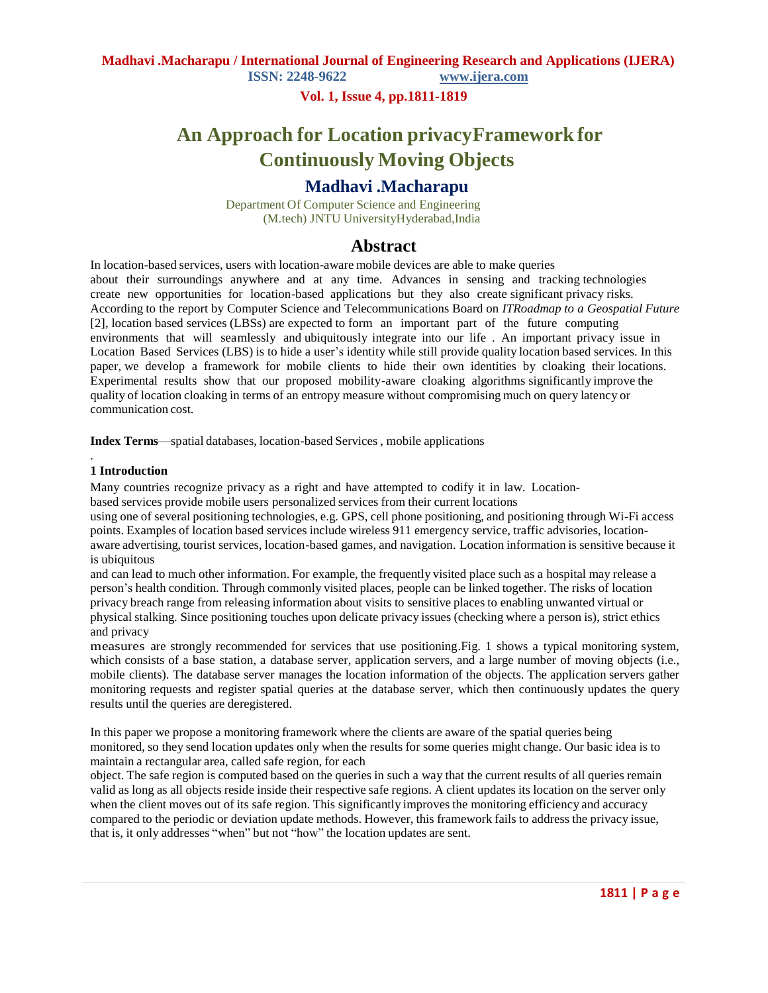**Madhavi .Macharapu / International Journal of Engineering Research and Applications (IJERA)** 

**ISSN: 2248-9622 www.ijera.com**

## **Vol. 1, Issue 4, pp.1811-1819**

# **An Approach for Location privacyFramework for Continuously Moving Objects**

## **Madhavi .Macharapu**

Department Of Computer Science and Engineering (M.tech) JNTU UniversityHyderabad,India

## **Abstract**

In location-based services, users with location-aware mobile devices are able to make queries about their surroundings anywhere and at any time. Advances in sensing and tracking technologies create new opportunities for location-based applications but they also create significant privacy risks. According to the report by Computer Science and Telecommunications Board on *ITRoadmap to a Geospatial Future* [2], location based services (LBSs) are expected to form an important part of the future computing environments that will seamlessly and ubiquitously integrate into our life . An important privacy issue in Location Based Services (LBS) is to hide a user's identity while still provide quality location based services. In this paper, we develop a framework for mobile clients to hide their own identities by cloaking their locations. Experimental results show that our proposed mobility-aware cloaking algorithms significantly improve the quality of location cloaking in terms of an entropy measure without compromising much on query latency or communication cost.

**Index Terms**—spatial databases, location-based Services , mobile applications

## **1 Introduction**

.

Many countries recognize privacy as a right and have attempted to codify it in law. Location-

based services provide mobile users personalized services from their current locations

using one of several positioning technologies, e.g. GPS, cell phone positioning, and positioning through Wi-Fi access points. Examples of location based services include wireless 911 emergency service, traffic advisories, locationaware advertising, tourist services, location-based games, and navigation. Location information is sensitive because it is ubiquitous

and can lead to much other information. For example, the frequently visited place such as a hospital may release a person's health condition. Through commonly visited places, people can be linked together. The risks of location privacy breach range from releasing information about visits to sensitive places to enabling unwanted virtual or physical stalking. Since positioning touches upon delicate privacy issues (checking where a person is), strict ethics and privacy

measures are strongly recommended for services that use positioning.Fig. 1 shows a typical monitoring system, which consists of a base station, a database server, application servers, and a large number of moving objects (i.e., mobile clients). The database server manages the location information of the objects. The application servers gather monitoring requests and register spatial queries at the database server, which then continuously updates the query results until the queries are deregistered.

In this paper we propose a monitoring framework where the clients are aware of the spatial queries being monitored, so they send location updates only when the results for some queries might change. Our basic idea is to maintain a rectangular area, called safe region, for each

object. The safe region is computed based on the queries in such a way that the current results of all queries remain valid as long as all objects reside inside their respective safe regions. A client updates its location on the server only when the client moves out of its safe region. This significantly improves the monitoring efficiency and accuracy compared to the periodic or deviation update methods. However, this framework fails to address the privacy issue, that is, it only addresses "when" but not "how" the location updates are sent.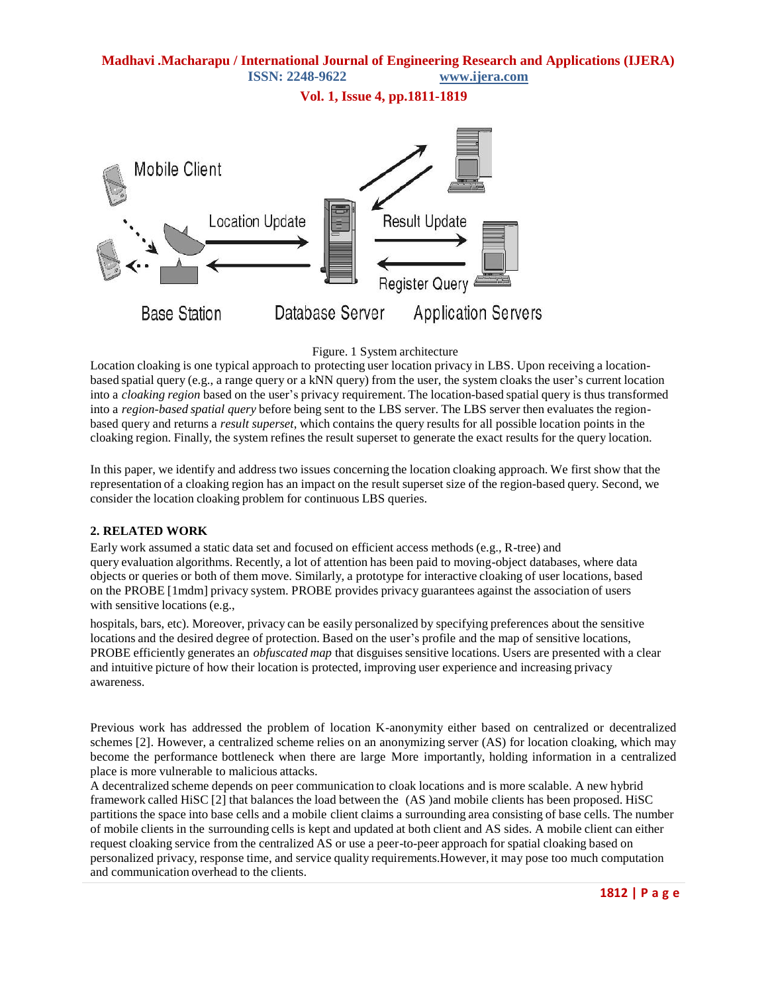# **Madhavi .Macharapu / International Journal of Engineering Research and Applications (IJERA)**

**ISSN: 2248-9622 www.ijera.com**

**Vol. 1, Issue 4, pp.1811-1819**



#### Figure. 1 System architecture

Location cloaking is one typical approach to protecting user location privacy in LBS. Upon receiving a locationbased spatial query (e.g., a range query or a kNN query) from the user, the system cloaks the user's current location into a *cloaking region* based on the user's privacy requirement. The location-based spatial query is thus transformed into a *region-based spatial query* before being sent to the LBS server. The LBS server then evaluates the regionbased query and returns a *result superset*, which contains the query results for all possible location points in the cloaking region. Finally, the system refines the result superset to generate the exact results for the query location.

In this paper, we identify and address two issues concerning the location cloaking approach. We first show that the representation of a cloaking region has an impact on the result superset size of the region-based query. Second, we consider the location cloaking problem for continuous LBS queries.

### **2. RELATED WORK**

Early work assumed a static data set and focused on efficient access methods (e.g., R-tree) and query evaluation algorithms. Recently, a lot of attention has been paid to moving-object databases, where data objects or queries or both of them move. Similarly, a prototype for interactive cloaking of user locations, based on the PROBE [1mdm] privacy system. PROBE provides privacy guarantees against the association of users with sensitive locations (e.g.,

hospitals, bars, etc). Moreover, privacy can be easily personalized by specifying preferences about the sensitive locations and the desired degree of protection. Based on the user's profile and the map of sensitive locations, PROBE efficiently generates an *obfuscated map* that disguises sensitive locations. Users are presented with a clear and intuitive picture of how their location is protected, improving user experience and increasing privacy awareness.

Previous work has addressed the problem of location K-anonymity either based on centralized or decentralized schemes [2]. However, a centralized scheme relies on an anonymizing server (AS) for location cloaking, which may become the performance bottleneck when there are large More importantly, holding information in a centralized place is more vulnerable to malicious attacks.

A decentralized scheme depends on peer communication to cloak locations and is more scalable. A new hybrid framework called HiSC [2] that balances the load between the (AS )and mobile clients has been proposed. HiSC partitions the space into base cells and a mobile client claims a surrounding area consisting of base cells. The number of mobile clients in the surrounding cells is kept and updated at both client and AS sides. A mobile client can either request cloaking service from the centralized AS or use a peer-to-peer approach for spatial cloaking based on personalized privacy, response time, and service quality requirements.However,it may pose too much computation and communication overhead to the clients.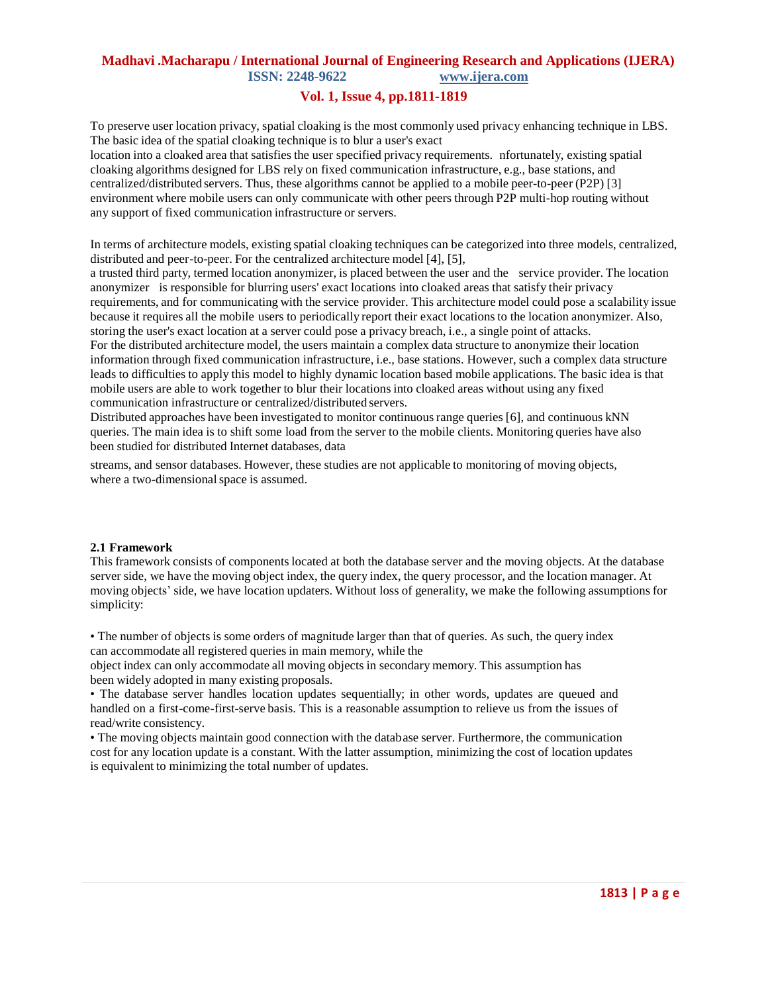## **Vol. 1, Issue 4, pp.1811-1819**

To preserve user location privacy, spatial cloaking is the most commonly used privacy enhancing technique in LBS. The basic idea of the spatial cloaking technique is to blur a user's exact

location into a cloaked area that satisfies the user specified privacy requirements. nfortunately, existing spatial cloaking algorithms designed for LBS rely on fixed communication infrastructure, e.g., base stations, and centralized/distributed servers. Thus, these algorithms cannot be applied to a mobile peer-to-peer (P2P) [3] environment where mobile users can only communicate with other peers through P2P multi-hop routing without any support of fixed communication infrastructure or servers.

In terms of architecture models, existing spatial cloaking techniques can be categorized into three models, centralized, distributed and peer-to-peer. For the centralized architecture model [4], [5],

a trusted third party, termed location anonymizer, is placed between the user and the service provider. The location anonymizer is responsible for blurring users' exact locations into cloaked areas that satisfy their privacy requirements, and for communicating with the service provider. This architecture model could pose a scalability issue because it requires all the mobile users to periodically report their exact locations to the location anonymizer. Also, storing the user's exact location at a server could pose a privacy breach, i.e., a single point of attacks.

For the distributed architecture model, the users maintain a complex data structure to anonymize their location information through fixed communication infrastructure, i.e., base stations. However, such a complex data structure leads to difficulties to apply this model to highly dynamic location based mobile applications. The basic idea is that mobile users are able to work together to blur their locations into cloaked areas without using any fixed communication infrastructure or centralized/distributed servers.

Distributed approaches have been investigated to monitor continuousrange queries [6], and continuous kNN queries. The main idea is to shift some load from the server to the mobile clients. Monitoring queries have also been studied for distributed Internet databases, data

streams, and sensor databases. However, these studies are not applicable to monitoring of moving objects, where a two-dimensional space is assumed.

#### **2.1 Framework**

This framework consists of componentslocated at both the database server and the moving objects. At the database server side, we have the moving object index, the query index, the query processor, and the location manager. At moving objects' side, we have location updaters. Without loss of generality, we make the following assumptionsfor simplicity:

• The number of objects is some orders of magnitude larger than that of queries. As such, the query index can accommodate all registered queries in main memory, while the

object index can only accommodate all moving objects in secondary memory. This assumption has been widely adopted in many existing proposals.

• The database server handles location updates sequentially; in other words, updates are queued and handled on a first-come-first-serve basis. This is a reasonable assumption to relieve us from the issues of read/write consistency.

• The moving objects maintain good connection with the database server. Furthermore, the communication cost for any location update is a constant. With the latter assumption, minimizing the cost of location updates is equivalent to minimizing the total number of updates.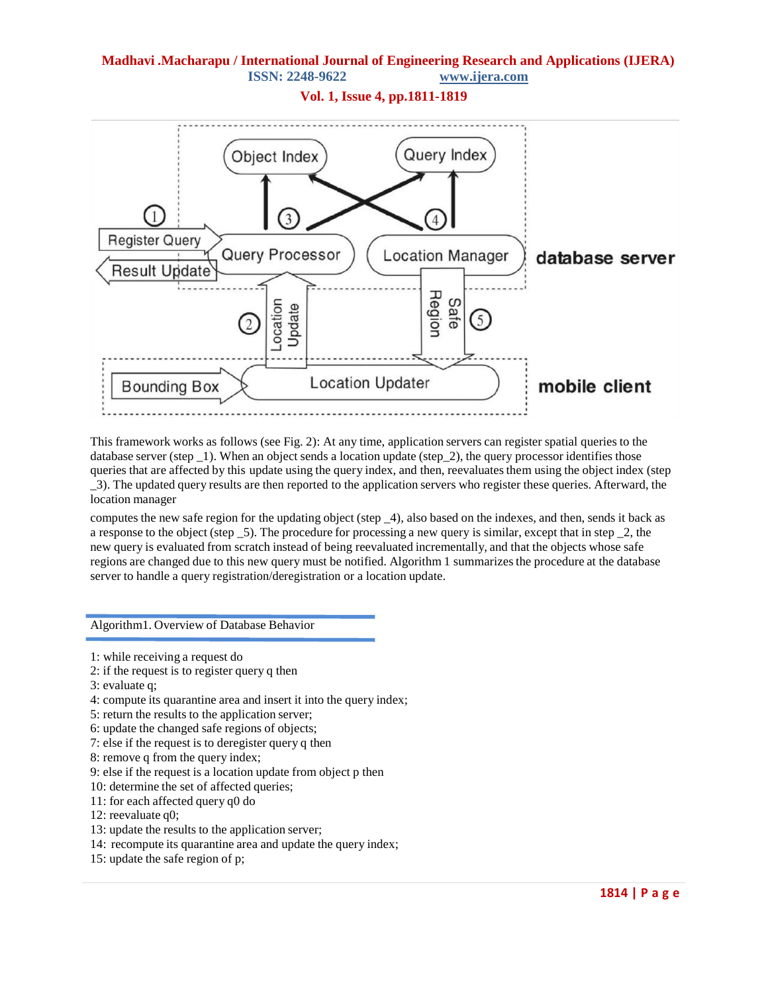**Vol. 1, Issue 4, pp.1811-1819**



This framework works as follows (see Fig. 2): At any time, application servers can register spatial queries to the database server (step  $\_1$ ). When an object sends a location update (step  $\_2$ ), the query processor identifies those queries that are affected by this update using the query index, and then, reevaluates them using the object index (step \_3). The updated query results are then reported to the application servers who register these queries. Afterward, the location manager

computes the new safe region for the updating object (step \_4), also based on the indexes, and then, sends it back as a response to the object (step \_5). The procedure for processing a new query is similar, except that in step \_2, the new query is evaluated from scratch instead of being reevaluated incrementally, and that the objects whose safe regions are changed due to this new query must be notified. Algorithm 1 summarizesthe procedure at the database server to handle a query registration/deregistration or a location update.

#### Algorithm1. Overview of Database Behavior

- 1: while receiving a request do
- 2: if the request is to register query q then
- 3: evaluate q;
- 4: compute its quarantine area and insert it into the query index;
- 5: return the results to the application server;
- 6: update the changed safe regions of objects;
- 7: else if the request is to deregister query q then
- 8: remove q from the query index;
- 9: else if the request is a location update from object p then
- 10: determine the set of affected queries;
- 11: for each affected query q0 do
- 12: reevaluate q0;
- 13: update the results to the application server;
- 14: recompute its quarantine area and update the query index;
- 15: update the safe region of p;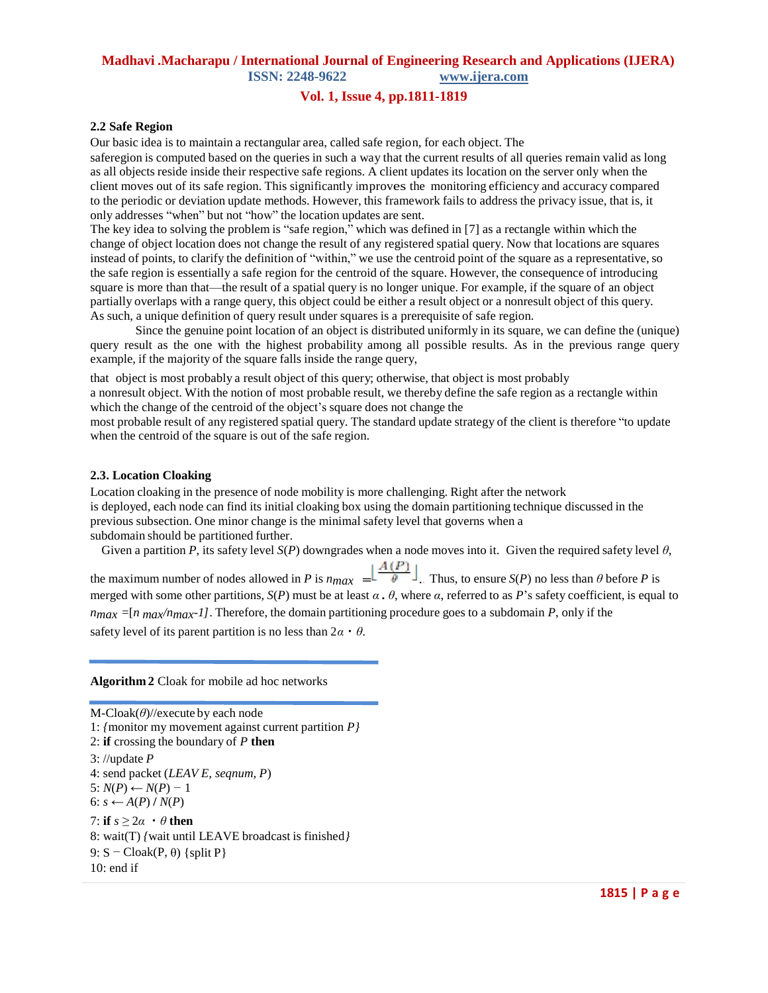## **Vol. 1, Issue 4, pp.1811-1819**

#### **2.2 Safe Region**

Our basic idea is to maintain a rectangular area, called safe region, for each object. The

saferegion is computed based on the queries in such a way that the current results of all queries remain valid as long as all objects reside inside their respective safe regions. A client updates its location on the server only when the client moves out of its safe region. This significantly improves the monitoring efficiency and accuracy compared to the periodic or deviation update methods. However, this framework fails to address the privacy issue, that is, it only addresses "when" but not "how" the location updates are sent.

The key idea to solving the problem is "safe region," which was defined in [7] as a rectangle within which the change of object location does not change the result of any registered spatial query. Now that locations are squares instead of points, to clarify the definition of "within," we use the centroid point of the square as a representative, so the safe region is essentially a safe region for the centroid of the square. However, the consequence of introducing square is more than that—the result of a spatial query is no longer unique. For example, if the square of an object partially overlaps with a range query, this object could be either a result object or a nonresult object of this query. As such, a unique definition of query result under squares is a prerequisite of safe region.

Since the genuine point location of an object is distributed uniformly in its square, we can define the (unique) query result as the one with the highest probability among all possible results. As in the previous range query example, if the majority of the square falls inside the range query,

that object is most probably a result object of this query; otherwise, that object is most probably

a nonresult object. With the notion of most probable result, we thereby define the safe region as a rectangle within which the change of the centroid of the object's square does not change the

most probable result of any registered spatial query. The standard update strategy of the client is therefore "to update when the centroid of the square is out of the safe region.

#### **2.3. Location Cloaking**

Location cloaking in the presence of node mobility is more challenging. Right after the network is deployed, each node can find its initial cloaking box using the domain partitioning technique discussed in the previous subsection. One minor change is the minimal safety level that governs when a subdomain should be partitioned further.

Given a partition *P*, its safety level *S*(*P*) downgrades when a node moves into it. Given the required safety level *θ*,

the maximum number of nodes allowed in *P* is  $n_{max} = \frac{1 - \frac{A(P)}{\theta}}{P}$ . Thus, to ensure *S*(*P*) no less than  $\theta$  before *P* is merged with some other partitions,  $S(P)$  must be at least  $\alpha$ .  $\theta$ , where  $\alpha$ , referred to as P's safety coefficient, is equal to  $n_{max} = [n_{max}/n_{max} - 1]$ . Therefore, the domain partitioning procedure goes to a subdomain *P*, only if the safety level of its parent partition is no less than 2*α*・*θ*.

**Algorithm 2** Cloak for mobile ad hoc networks

M-Cloak(*θ*)//execute by each node 1: *{*monitor my movement against current partition *P}* 2: **if** crossing the boundary of *P* **then** 3: //update *P* 4: send packet (*LEAV E, seqnum, P*)  $5: N(P) \leftarrow N(P) - 1$  $6: s \leftarrow A(P)/N(P)$ 7: **if**  $s \geq 2\alpha \cdot \theta$  **then** 8: wait(T) *{*wait until LEAVE broadcast is finished*}* 9:  $S - \text{Clock}(P, \theta)$  {split P} 10: end if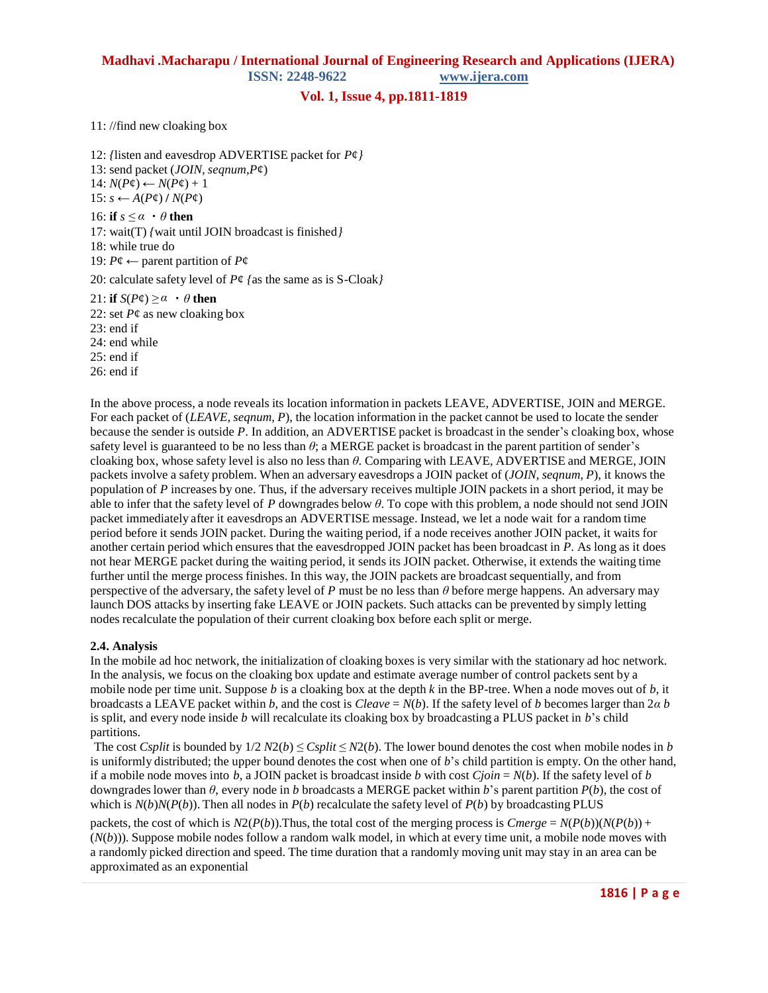## **Madhavi .Macharapu / International Journal of Engineering Research and Applications (IJERA)**

**ISSN: 2248-9622 www.ijera.com**

## **Vol. 1, Issue 4, pp.1811-1819**

11: //find new cloaking box

12: *{*listen and eavesdrop ADVERTISE packet for *P*¢*}* 13: send packet (*JOIN, seqnum,P*¢)  $14: N(P\varphi) \leftarrow N(P\varphi) + 1$ 15: *s* ←  $A(P¢)$  /  $N(P¢)$ 16: **if**  $s \leq \alpha \cdot \theta$  **then** 17: wait(T) *{*wait until JOIN broadcast is finished*}* 18: while true do 19:  $P¢$  ← parent partition of  $P¢$ 20: calculate safety level of *P*¢ *{*as the same as is S-Cloak*}* 21: **if**  $S(P\varphi) \ge \alpha \cdot \theta$  **then** 22: set *P*¢ as new cloaking box 23: end if 24: end while

25: end if 26: end if In the above process, a node reveals its location information in packets LEAVE, ADVERTISE, JOIN and MERGE. For each packet of (*LEAVE, seqnum, P*), the location information in the packet cannot be used to locate the sender because the sender is outside *P*. In addition, an ADVERTISE packet is broadcast in the sender's cloaking box, whose safety level is guaranteed to be no less than *θ*; a MERGE packet is broadcast in the parent partition of sender's cloaking box, whose safety level is also no less than *θ*. Comparing with LEAVE, ADVERTISE and MERGE, JOIN packets involve a safety problem. When an adversary eavesdrops a JOIN packet of (*JOIN, seqnum, P*), it knows the population of *P* increases by one. Thus, if the adversary receives multiple JOIN packets in a short period, it may be able to infer that the safety level of *P* downgrades below *θ*. To cope with this problem, a node should not send JOIN packet immediately after it eavesdrops an ADVERTISE message. Instead, we let a node wait for a random time period before it sends JOIN packet. During the waiting period, if a node receives another JOIN packet, it waits for another certain period which ensures that the eavesdropped JOIN packet has been broadcast in *P*. As long as it does not hear MERGE packet during the waiting period, it sends its JOIN packet. Otherwise, it extends the waiting time further until the merge process finishes. In this way, the JOIN packets are broadcast sequentially, and from perspective of the adversary, the safety level of *P* must be no less than *θ* before merge happens. An adversary may launch DOS attacks by inserting fake LEAVE or JOIN packets. Such attacks can be prevented by simply letting nodes recalculate the population of their current cloaking box before each split or merge.

#### **2.4. Analysis**

In the mobile ad hoc network, the initialization of cloaking boxes is very similar with the stationary ad hoc network. In the analysis, we focus on the cloaking box update and estimate average number of control packets sent by a mobile node per time unit. Suppose *b* is a cloaking box at the depth *k* in the BP-tree. When a node moves out of *b*, it broadcasts a LEAVE packet within *b*, and the cost is *Cleave* = *N*(*b*). If the safety level of *b* becomes larger than 2*α b* is split, and every node inside *b* will recalculate its cloaking box by broadcasting a PLUS packet in *b*'s child partitions.

The cost *Csplit* is bounded by  $1/2$   $N2(b) \le Csplit \le N2(b)$ . The lower bound denotes the cost when mobile nodes in *b* is uniformly distributed; the upper bound denotes the cost when one of *b*'s child partition is empty. On the other hand, if a mobile node moves into *b*, a JOIN packet is broadcast inside *b* with cost  $C$ *join* =  $N(b)$ . If the safety level of *b* downgradeslower than *θ*, every node in *b* broadcasts a MERGE packet within *b*'s parent partition *P*(*b*), the cost of which is  $N(b)N(P(b))$ . Then all nodes in  $P(b)$  recalculate the safety level of  $P(b)$  by broadcasting PLUS

packets, the cost of which is  $N2(P(b))$ . Thus, the total cost of the merging process is  $Cmerge = N(P(b))(N(P(b)) +$ (*N*(*b*))). Suppose mobile nodes follow a random walk model, in which at every time unit, a mobile node moves with a randomly picked direction and speed. The time duration that a randomly moving unit may stay in an area can be approximated as an exponential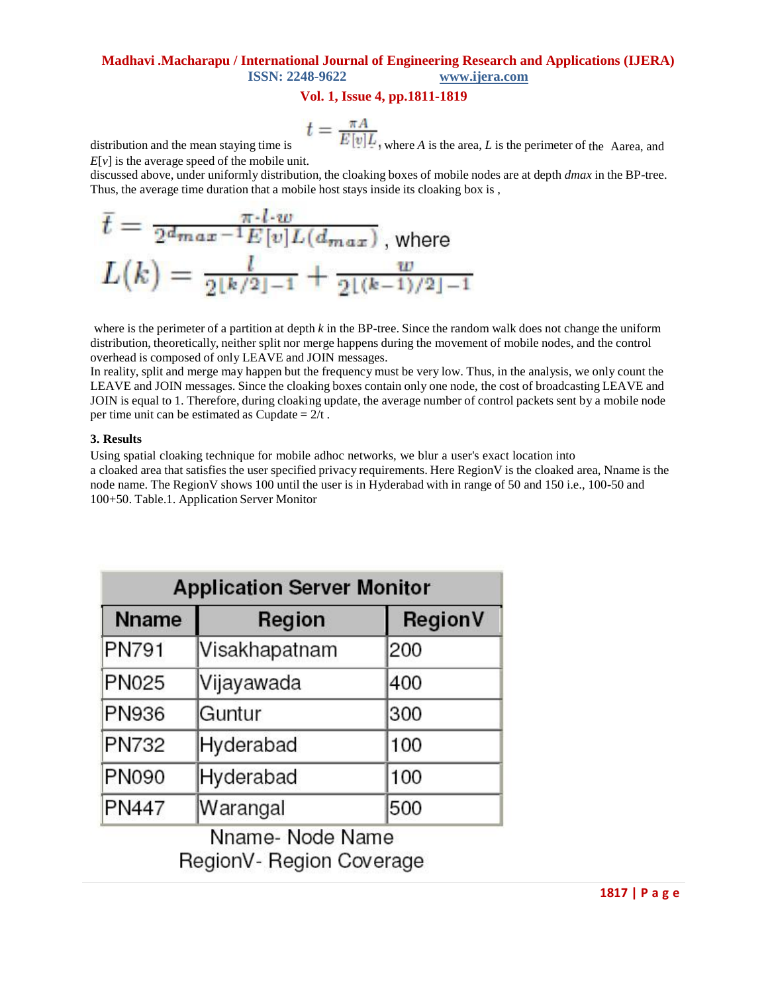## **Vol. 1, Issue 4, pp.1811-1819**

$$
t = \frac{\pi A}{E[v]L}
$$

distribution and the mean staying time is  $E[\Psi] \neq$ , where *A* is the area, *L* is the perimeter of the Aarea, and  $E[v]$  is the average speed of the mobile unit.

discussed above, under uniformly distribution, the cloaking boxes of mobile nodes are at depth *dmax* in the BP-tree. Thus, the average time duration that a mobile host stays inside its cloaking box is ,

$$
\bar{t} = \frac{\pi \cdot l \cdot w}{2^{d_{max} - 1} E[v] L(d_{max})}, \text{ where}
$$

$$
L(k) = \frac{l}{2^{\lfloor k/2 \rfloor - 1}} + \frac{w}{2^{\lfloor (k-1)/2 \rfloor - 1}}
$$

where is the perimeter of a partition at depth *k* in the BP-tree. Since the random walk does not change the uniform distribution, theoretically, neither split nor merge happens during the movement of mobile nodes, and the control overhead is composed of only LEAVE and JOIN messages.

In reality, split and merge may happen but the frequency must be very low. Thus, in the analysis, we only count the LEAVE and JOIN messages. Since the cloaking boxes contain only one node, the cost of broadcasting LEAVE and JOIN is equal to 1. Therefore, during cloaking update, the average number of control packets sent by a mobile node per time unit can be estimated as Cupdate  $= 2/t$ .

#### **3. Results**

Using spatial cloaking technique for mobile adhoc networks, we blur a user's exact location into a cloaked area that satisfies the user specified privacy requirements. Here RegionV is the cloaked area, Nname is the node name. The RegionV shows 100 until the user is in Hyderabad with in range of 50 and 150 i.e., 100-50 and 100+50. Table.1. Application Server Monitor

| <b>Application Server Monitor</b> |                 |         |
|-----------------------------------|-----------------|---------|
| <b>Nname</b>                      | Region          | RegionV |
| PN791                             | Visakhapatnam   | 200     |
| <b>PN025</b>                      | Vijayawada      | 400     |
| <b>PN936</b>                      | Guntur          | 300     |
| PN732                             | Hyderabad       | 100     |
| <b>PN090</b>                      | Hyderabad       | 100     |
| <b>PN447</b>                      | Warangal        | 500     |
|                                   | Nnome Node Nome |         |

Nname-Node Name RegionV- Region Coverage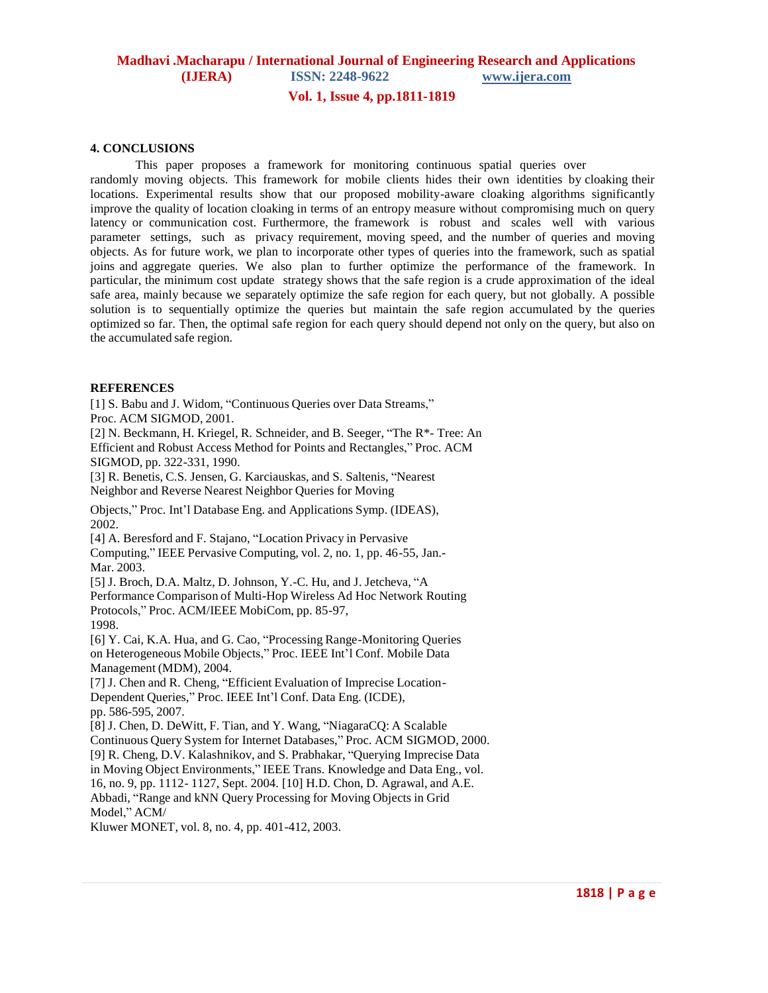**Vol. 1, Issue 4, pp.1811-1819**

## **4. CONCLUSIONS**

This paper proposes a framework for monitoring continuous spatial queries over randomly moving objects. This framework for mobile clients hides their own identities by cloaking their locations. Experimental results show that our proposed mobility-aware cloaking algorithms significantly improve the quality of location cloaking in terms of an entropy measure without compromising much on query latency or communication cost. Furthermore, the framework is robust and scales well with various parameter settings, such as privacy requirement, moving speed, and the number of queries and moving objects. As for future work, we plan to incorporate other types of queries into the framework, such as spatial joins and aggregate queries. We also plan to further optimize the performance of the framework. In particular, the minimum cost update strategy shows that the safe region is a crude approximation of the ideal safe area, mainly because we separately optimize the safe region for each query, but not globally. A possible solution is to sequentially optimize the queries but maintain the safe region accumulated by the queries optimized so far. Then, the optimal safe region for each query should depend not only on the query, but also on the accumulated safe region.

#### **REFERENCES**

[1] S. Babu and J. Widom, "Continuous Queries over Data Streams,"

Proc. ACM SIGMOD, 2001.

[2] N. Beckmann, H. Kriegel, R. Schneider, and B. Seeger, "The R\*- Tree: An Efficient and Robust Access Method for Points and Rectangles," Proc. ACM SIGMOD, pp. 322-331, 1990.

[3] R. Benetis, C.S. Jensen, G. Karciauskas, and S. Saltenis, "Nearest

Neighbor and Reverse Nearest Neighbor Queries for Moving

Objects," Proc. Int'l Database Eng. and Applications Symp. (IDEAS), 2002.

[4] A. Beresford and F. Stajano, "Location Privacy in Pervasive

Computing," IEEE Pervasive Computing, vol. 2, no. 1, pp. 46-55, Jan.- Mar. 2003.

[5] J. Broch, D.A. Maltz, D. Johnson, Y.-C. Hu, and J. Jetcheva, "A

Performance Comparison of Multi-Hop Wireless Ad Hoc Network Routing Protocols," Proc. ACM/IEEE MobiCom, pp. 85-97, 1998.

[6] Y. Cai, K.A. Hua, and G. Cao, "Processing Range-Monitoring Queries on Heterogeneous Mobile Objects," Proc. IEEE Int'l Conf. Mobile Data Management (MDM), 2004.

[7] J. Chen and R. Cheng, "Efficient Evaluation of Imprecise Location-Dependent Queries," Proc. IEEE Int'l Conf. Data Eng. (ICDE), pp. 586-595, 2007.

[8] J. Chen, D. DeWitt, F. Tian, and Y. Wang, "NiagaraCQ: A Scalable Continuous Query System for Internet Databases," Proc. ACM SIGMOD, 2000. [9] R. Cheng, D.V. Kalashnikov, and S. Prabhakar, "Querying Imprecise Data in Moving Object Environments," IEEE Trans. Knowledge and Data Eng., vol. 16, no. 9, pp. 1112- 1127, Sept. 2004. [10] H.D. Chon, D. Agrawal, and A.E. Abbadi, "Range and kNN Query Processing for Moving Objects in Grid

Model," ACM/

Kluwer MONET, vol. 8, no. 4, pp. 401-412, 2003.